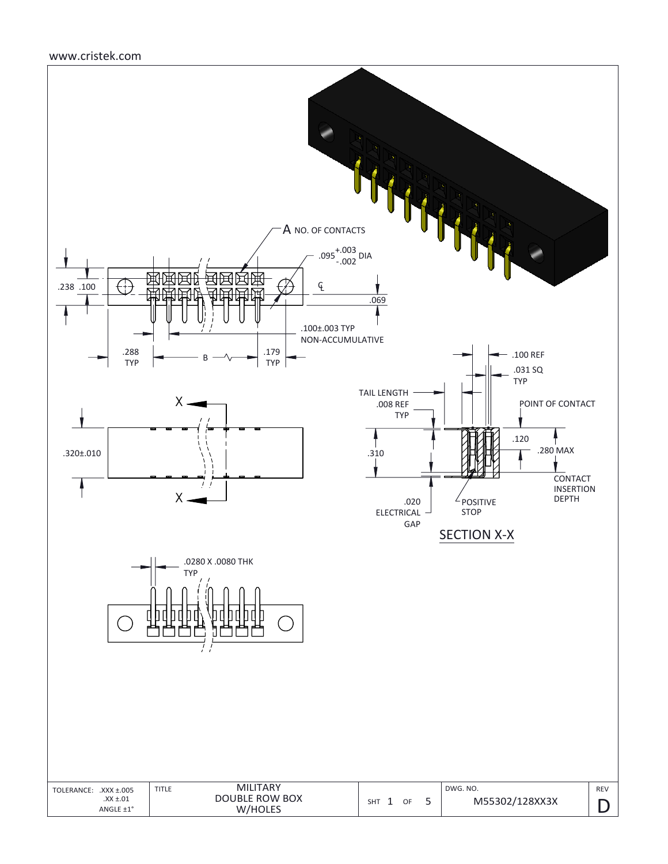### www.cristek.com

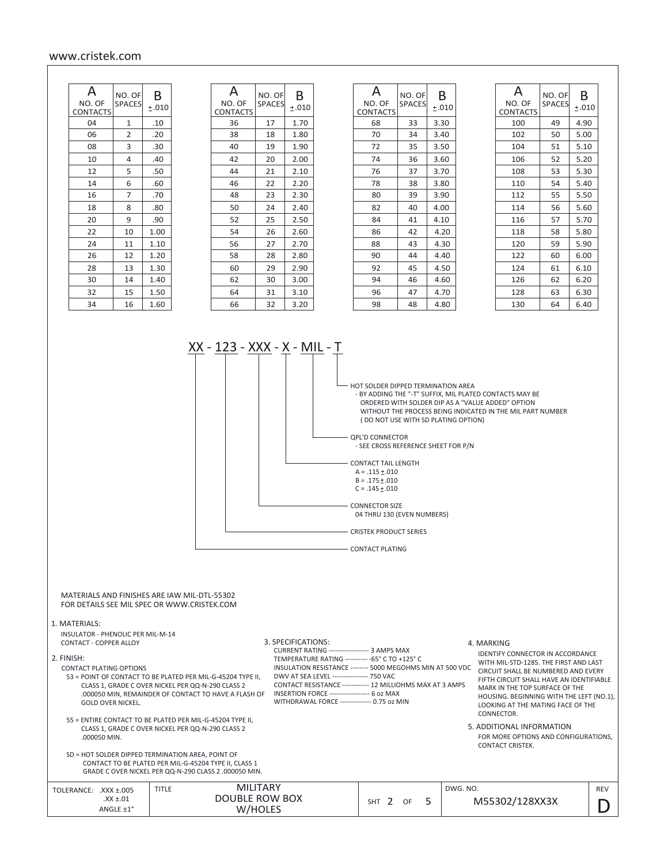#### www.cristek.com

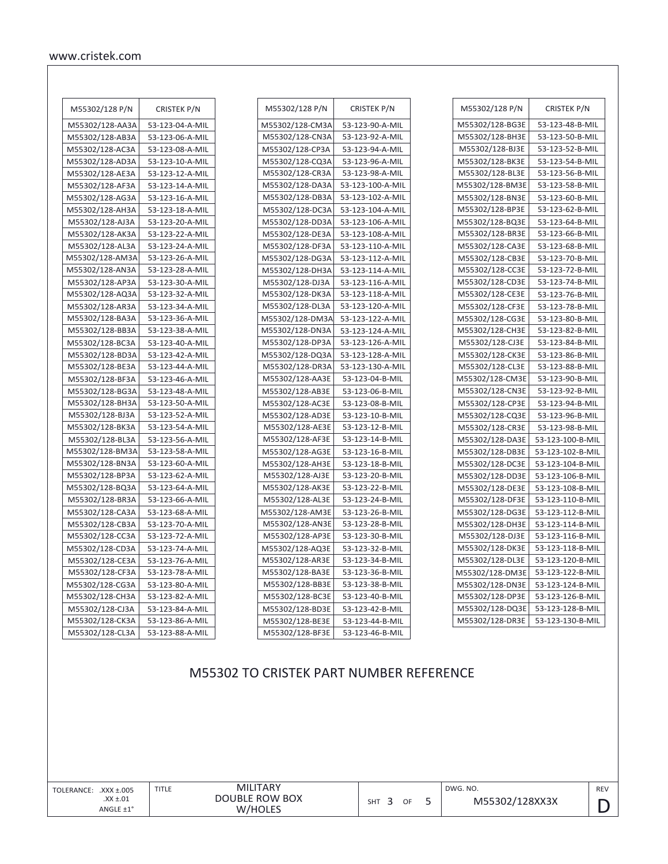| M55302/128 P/N  | <b>CRISTEK P/N</b> |
|-----------------|--------------------|
| M55302/128-AA3A | 53-123-04-A-MIL    |
| M55302/128-AB3A | 53-123-06-A-MIL    |
| M55302/128-AC3A | 53-123-08-A-MIL    |
| M55302/128-AD3A | 53-123-10-A-MIL    |
| M55302/128-AE3A | 53-123-12-A-MIL    |
| M55302/128-AF3A | 53-123-14-A-MIL    |
| M55302/128-AG3A | 53-123-16-A-MIL    |
| M55302/128-AH3A | 53-123-18-A-MIL    |
| M55302/128-AJ3A | 53-123-20-A-MIL    |
| M55302/128-AK3A | 53-123-22-A-MIL    |
| M55302/128-AL3A | 53-123-24-A-MIL    |
| M55302/128-AM3A | 53-123-26-A-MIL    |
| M55302/128-AN3A | 53-123-28-A-MIL    |
| M55302/128-AP3A | 53-123-30-A-MIL    |
| M55302/128-AQ3A | 53-123-32-A-MIL    |
| M55302/128-AR3A | 53-123-34-A-MIL    |
| M55302/128-BA3A | 53-123-36-A-MIL    |
| M55302/128-BB3A | 53-123-38-A-MIL    |
| M55302/128-BC3A | 53-123-40-A-MIL    |
| M55302/128-BD3A | 53-123-42-A-MIL    |
| M55302/128-BE3A | 53-123-44-A-MIL    |
| M55302/128-BF3A | 53-123-46-A-MIL    |
| M55302/128-BG3A | 53-123-48-A-MIL    |
| M55302/128-BH3A | 53-123-50-A-MIL    |
| M55302/128-BJ3A | 53-123-52-A-MIL    |
| M55302/128-BK3A | 53-123-54-A-MIL    |
| M55302/128-BL3A | 53-123-56-A-MIL    |
| M55302/128-BM3A | 53-123-58-A-MIL    |
| M55302/128-BN3A | 53-123-60-A-MIL    |
| M55302/128-BP3A | 53-123-62-A-MIL    |
| M55302/128-BQ3A | 53-123-64-A-MIL    |
| M55302/128-BR3A | 53-123-66-A-MIL    |
| M55302/128-CA3A | 53-123-68-A-MIL    |
| M55302/128-CB3A | 53-123-70-A-MIL    |
| M55302/128-CC3A | 53-123-72-A-MIL    |
| M55302/128-CD3A | 53-123-74-A-MIL    |
| M55302/128-CE3A | 53-123-76-A-MIL    |
| M55302/128-CF3A | 53-123-78-A-MIL    |
| M55302/128-CG3A | 53-123-80-A-MIL    |
| M55302/128-CH3A | 53-123-82-A-MIL    |
| M55302/128-CJ3A | 53-123-84-A-MIL    |
| M55302/128-CK3A | 53-123-86-A-MIL    |
| M55302/128-CL3A | 53-123-88-A-MIL    |

| M55302/128 P/N  | <b>CRISTEK P/N</b> |
|-----------------|--------------------|
| M55302/128-CM3A | 53-123-90-A-MIL    |
| M55302/128-CN3A | 53-123-92-A-MIL    |
| M55302/128-CP3A | 53-123-94-A-MIL    |
| M55302/128-CQ3A | 53-123-96-A-MIL    |
| M55302/128-CR3A | 53-123-98-A-MIL    |
| M55302/128-DA3A | 53-123-100-A-MIL   |
| M55302/128-DB3A | 53-123-102-A-MIL   |
| M55302/128-DC3A | 53-123-104-A-MIL   |
| M55302/128-DD3A | 53-123-106-A-MIL   |
| M55302/128-DE3A | 53-123-108-A-MIL   |
| M55302/128-DF3A | 53-123-110-A-MIL   |
| M55302/128-DG3A | 53-123-112-A-MIL   |
| M55302/128-DH3A | 53-123-114-A-MIL   |
| M55302/128-DJ3A | 53-123-116-A-MIL   |
| M55302/128-DK3A | 53-123-118-A-MIL   |
| M55302/128-DL3A | 53-123-120-A-MIL   |
| M55302/128-DM3A | 53-123-122-A-MIL   |
| M55302/128-DN3A | 53-123-124-A-MIL   |
| M55302/128-DP3A | 53-123-126-A-MIL   |
| M55302/128-DQ3A | 53-123-128-A-MIL   |
| M55302/128-DR3A | 53-123-130-A-MIL   |
| M55302/128-AA3E | 53-123-04-B-MIL    |
| M55302/128-AB3E | 53-123-06-B-MIL    |
| M55302/128-AC3E | 53-123-08-B-MIL    |
| M55302/128-AD3E | 53-123-10-B-MIL    |
| M55302/128-AE3E | 53-123-12-B-MIL    |
| M55302/128-AF3E | 53-123-14-B-MIL    |
| M55302/128-AG3E | 53-123-16-B-MIL    |
| M55302/128-AH3E | 53-123-18-B-MIL    |
| M55302/128-AJ3E | 53-123-20-B-MIL    |
| M55302/128-AK3E | 53-123-22-B-MIL    |
| M55302/128-AL3E | 53-123-24-B-MIL    |
| M55302/128-AM3E | 53-123-26-B-MIL    |
| M55302/128-AN3E | 53-123-28-B-MIL    |
| M55302/128-AP3E | 53-123-30-B-MIL    |
| M55302/128-AQ3E | 53-123-32-B-MIL    |
| M55302/128-AR3E | 53-123-34-B-MIL    |
| M55302/128-BA3E | 53-123-36-B-MIL    |
| M55302/128-BB3E | 53-123-38-B-MIL    |
| M55302/128-BC3E | 53-123-40-B-MIL    |
| M55302/128-BD3E | 53-123-42-B-MIL    |
| M55302/128-BE3E | 53-123-44-B-MIL    |
| M55302/128-BF3E | 53-123-46-B-MIL    |

| M55302/128 P/N  | <b>CRISTEK P/N</b> |
|-----------------|--------------------|
| M55302/128-BG3E | 53-123-48-B-MIL    |
| M55302/128-BH3E | 53-123-50-B-MIL    |
| M55302/128-BJ3E | 53-123-52-B-MIL    |
| M55302/128-BK3E | 53-123-54-B-MIL    |
| M55302/128-BL3E | 53-123-56-B-MIL    |
| M55302/128-BM3E | 53-123-58-B-MIL    |
| M55302/128-BN3E | 53-123-60-B-MIL    |
| M55302/128-BP3E | 53-123-62-B-MIL    |
| M55302/128-BQ3E | 53-123-64-B-MIL    |
| M55302/128-BR3E | 53-123-66-B-MIL    |
| M55302/128-CA3E | 53-123-68-B-MIL    |
| M55302/128-CB3E | 53-123-70-B-MIL    |
| M55302/128-CC3E | 53-123-72-B-MIL    |
| M55302/128-CD3E | 53-123-74-B-MIL    |
| M55302/128-CE3E | 53-123-76-B-MIL    |
| M55302/128-CF3E | 53-123-78-B-MIL    |
| M55302/128-CG3E | 53-123-80-B-MIL    |
| M55302/128-CH3E | 53-123-82-B-MIL    |
| M55302/128-CJ3E | 53-123-84-B-MIL    |
| M55302/128-CK3E | 53-123-86-B-MIL    |
| M55302/128-CL3E | 53-123-88-B-MIL    |
| M55302/128-CM3E | 53-123-90-B-MIL    |
| M55302/128-CN3E | 53-123-92-B-MIL    |
| M55302/128-CP3E | 53-123-94-B-MIL    |
| M55302/128-CQ3E | 53-123-96-B-MIL    |
| M55302/128-CR3E | 53-123-98-B-MIL    |
| M55302/128-DA3E | 53-123-100-B-MIL   |
| M55302/128-DB3E | 53-123-102-B-MIL   |
| M55302/128-DC3E | 53-123-104-B-MIL   |
| M55302/128-DD3E | 53-123-106-B-MIL   |
| M55302/128-DE3E | 53-123-108-B-MIL   |
| M55302/128-DF3E | 53-123-110-B-MIL   |
| M55302/128-DG3E | 53-123-112-B-MIL   |
| M55302/128-DH3E | 53-123-114-B-MIL   |
| M55302/128-DJ3E | 53-123-116-B-MIL   |
| M55302/128-DK3E | 53-123-118-B-MIL   |
| M55302/128-DL3E | 53-123-120-B-MIL   |
| M55302/128-DM3E | 53-123-122-B-MIL   |
| M55302/128-DN3E | 53-123-124-B-MIL   |
| M55302/128-DP3E | 53-123-126-B-MIL   |
| M55302/128-DQ3E | 53-123-128-B-MIL   |
| M55302/128-DR3E | 53-123-130-B-MIL   |

# M55302 TO CRISTEK PART NUMBER REFERENCE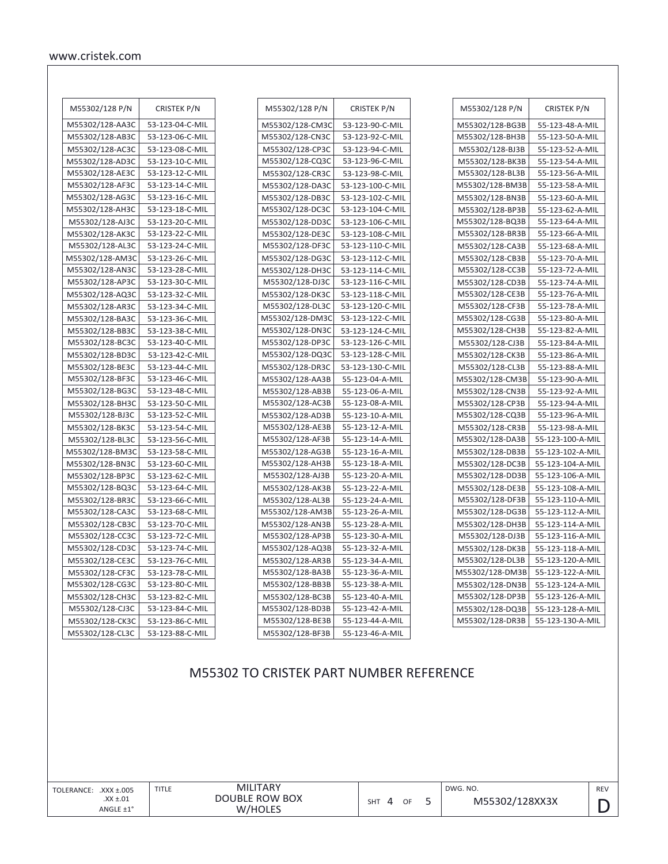| M55302/128 P/N  | <b>CRISTEK P/N</b> |
|-----------------|--------------------|
| M55302/128-AA3C | 53-123-04-C-MIL    |
| M55302/128-AB3C | 53-123-06-C-MIL    |
| M55302/128-AC3C | 53-123-08-C-MIL    |
| M55302/128-AD3C | 53-123-10-C-MIL    |
| M55302/128-AE3C | 53-123-12-C-MIL    |
| M55302/128-AF3C | 53-123-14-C-MIL    |
| M55302/128-AG3C | 53-123-16-C-MIL    |
| M55302/128-AH3C | 53-123-18-C-MIL    |
| M55302/128-AJ3C | 53-123-20-C-MIL    |
| M55302/128-AK3C | 53-123-22-C-MIL    |
| M55302/128-AL3C | 53-123-24-C-MIL    |
| M55302/128-AM3C | 53-123-26-C-MIL    |
| M55302/128-AN3C | 53-123-28-C-MIL    |
| M55302/128-AP3C | 53-123-30-C-MIL    |
| M55302/128-AQ3C | 53-123-32-C-MIL    |
| M55302/128-AR3C | 53-123-34-C-MIL    |
| M55302/128-BA3C | 53-123-36-C-MIL    |
| M55302/128-BB3C | 53-123-38-C-MIL    |
| M55302/128-BC3C | 53-123-40-C-MIL    |
| M55302/128-BD3C | 53-123-42-C-MIL    |
| M55302/128-BE3C | 53-123-44-C-MIL    |
| M55302/128-BF3C | 53-123-46-C-MIL    |
| M55302/128-BG3C | 53-123-48-C-MIL    |
| M55302/128-BH3C | 53-123-50-C-MIL    |
| M55302/128-BJ3C | 53-123-52-C-MIL    |
| M55302/128-BK3C | 53-123-54-C-MIL    |
| M55302/128-BL3C | 53-123-56-C-MIL    |
| M55302/128-BM3C | 53-123-58-C-MIL    |
| M55302/128-BN3C | 53-123-60-C-MIL    |
| M55302/128-BP3C | 53-123-62-C-MIL    |
| M55302/128-BQ3C | 53-123-64-C-MIL    |
| M55302/128-BR3C | 53-123-66-C-MIL    |
| M55302/128-CA3C | 53-123-68-C-MIL    |
| M55302/128-CB3C | 53-123-70-C-MIL    |
| M55302/128-CC3C | 53-123-72-C-MIL    |
| M55302/128-CD3C | 53-123-74-C-MIL    |
| M55302/128-CE3C | 53-123-76-C-MIL    |
| M55302/128-CF3C | 53-123-78-C-MIL    |
| M55302/128-CG3C | 53-123-80-C-MIL    |
| M55302/128-CH3C | 53-123-82-C-MIL    |
| M55302/128-CJ3C | 53-123-84-C-MIL    |
| M55302/128-CK3C | 53-123-86-C-MIL    |
| M55302/128-CL3C | 53-123-88-C-MIL    |

| M55302/128 P/N  | <b>CRISTEK P/N</b> |
|-----------------|--------------------|
| M55302/128-CM3C | 53-123-90-C-MIL    |
| M55302/128-CN3C | 53-123-92-C-MIL    |
| M55302/128-CP3C | 53-123-94-C-MIL    |
| M55302/128-CQ3C | 53-123-96-C-MIL    |
| M55302/128-CR3C | 53-123-98-C-MIL    |
| M55302/128-DA3C | 53-123-100-C-MIL   |
| M55302/128-DB3C | 53-123-102-C-MIL   |
| M55302/128-DC3C | 53-123-104-C-MIL   |
| M55302/128-DD3C | 53-123-106-C-MIL   |
| M55302/128-DE3C | 53-123-108-C-MIL   |
| M55302/128-DF3C | 53-123-110-C-MIL   |
| M55302/128-DG3C | 53-123-112-C-MIL   |
| M55302/128-DH3C | 53-123-114-C-MIL   |
| M55302/128-DJ3C | 53-123-116-C-MIL   |
| M55302/128-DK3C | 53-123-118-C-MIL   |
| M55302/128-DL3C | 53-123-120-C-MIL   |
| M55302/128-DM3C | 53-123-122-C-MIL   |
| M55302/128-DN3C | 53-123-124-C-MIL   |
| M55302/128-DP3C | 53-123-126-C-MIL   |
| M55302/128-DQ3C | 53-123-128-C-MIL   |
| M55302/128-DR3C | 53-123-130-C-MIL   |
| M55302/128-AA3B | 55-123-04-A-MIL    |
| M55302/128-AB3B | 55-123-06-A-MIL    |
| M55302/128-AC3B | 55-123-08-A-MIL    |
| M55302/128-AD3B | 55-123-10-A-MIL    |
| M55302/128-AE3B | 55-123-12-A-MIL    |
| M55302/128-AF3B | 55-123-14-A-MIL    |
| M55302/128-AG3B | 55-123-16-A-MIL    |
| M55302/128-AH3B | 55-123-18-A-MIL    |
| M55302/128-AJ3B | 55-123-20-A-MIL    |
| M55302/128-AK3B | 55-123-22-A-MIL    |
| M55302/128-AL3B | 55-123-24-A-MIL    |
| M55302/128-AM3B | 55-123-26-A-MIL    |
| M55302/128-AN3B | 55-123-28-A-MIL    |
| M55302/128-AP3B | 55-123-30-A-MIL    |
| M55302/128-AQ3B | 55-123-32-A-MIL    |
| M55302/128-AR3B | 55-123-34-A-MIL    |
| M55302/128-BA3B | 55-123-36-A-MIL    |
| M55302/128-BB3B | 55-123-38-A-MIL    |
| M55302/128-BC3B | 55-123-40-A-MIL    |
| M55302/128-BD3B | 55-123-42-A-MIL    |
| M55302/128-BE3B | 55-123-44-A-MIL    |
| M55302/128-BF3B | 55-123-46-A-MIL    |

| M55302/128 P/N  | <b>CRISTEK P/N</b> |
|-----------------|--------------------|
| M55302/128-BG3B | 55-123-48-A-MIL    |
| M55302/128-BH3B | 55-123-50-A-MIL    |
| M55302/128-BJ3B | 55-123-52-A-MIL    |
| M55302/128-BK3B | 55-123-54-A-MIL    |
| M55302/128-BL3B | 55-123-56-A-MIL    |
| M55302/128-BM3B | 55-123-58-A-MIL    |
| M55302/128-BN3B | 55-123-60-A-MIL    |
| M55302/128-BP3B | 55-123-62-A-MIL    |
| M55302/128-BQ3B | 55-123-64-A-MIL    |
| M55302/128-BR3B | 55-123-66-A-MIL    |
| M55302/128-CA3B | 55-123-68-A-MIL    |
| M55302/128-CB3B | 55-123-70-A-MIL    |
| M55302/128-CC3B | 55-123-72-A-MIL    |
| M55302/128-CD3B | 55-123-74-A-MIL    |
| M55302/128-CE3B | 55-123-76-A-MIL    |
| M55302/128-CF3B | 55-123-78-A-MIL    |
| M55302/128-CG3B | 55-123-80-A-MIL    |
| M55302/128-CH3B | 55-123-82-A-MIL    |
| M55302/128-CJ3B | 55-123-84-A-MIL    |
| M55302/128-CK3B | 55-123-86-A-MIL    |
| M55302/128-CL3B | 55-123-88-A-MIL    |
| M55302/128-CM3B | 55-123-90-A-MIL    |
| M55302/128-CN3B | 55-123-92-A-MIL    |
| M55302/128-CP3B | 55-123-94-A-MIL    |
| M55302/128-CQ3B | 55-123-96-A-MIL    |
| M55302/128-CR3B | 55-123-98-A-MIL    |
| M55302/128-DA3B | 55-123-100-A-MIL   |
| M55302/128-DB3B | 55-123-102-A-MIL   |
| M55302/128-DC3B | 55-123-104-A-MIL   |
| M55302/128-DD3B | 55-123-106-A-MIL   |
| M55302/128-DE3B | 55-123-108-A-MIL   |
| M55302/128-DF3B | 55-123-110-A-MIL   |
| M55302/128-DG3B | 55-123-112-A-MIL   |
| M55302/128-DH3B | 55-123-114-A-MIL   |
| M55302/128-DJ3B | 55-123-116-A-MIL   |
| M55302/128-DK3B | 55-123-118-A-MIL   |
| M55302/128-DL3B | 55-123-120-A-MIL   |
| M55302/128-DM3B | 55-123-122-A-MIL   |
| M55302/128-DN3B | 55-123-124-A-MIL   |
| M55302/128-DP3B | 55-123-126-A-MIL   |
| M55302/128-DQ3B | 55-123-128-A-MIL   |
| M55302/128-DR3B | 55-123-130-A-MIL   |

# M55302 TO CRISTEK PART NUMBER REFERENCE

| TOLERANCE: .XXX ±.005 | <b>MILITARY</b><br>TITLE |            |   |    | DWG. NO. |
|-----------------------|--------------------------|------------|---|----|----------|
| $.XX \pm .01$         | DOUBLE ROW BOX           | <b>SHT</b> | 4 | OF |          |
| ANGLE ±1°             | W/HOLES                  |            |   |    |          |

D REV